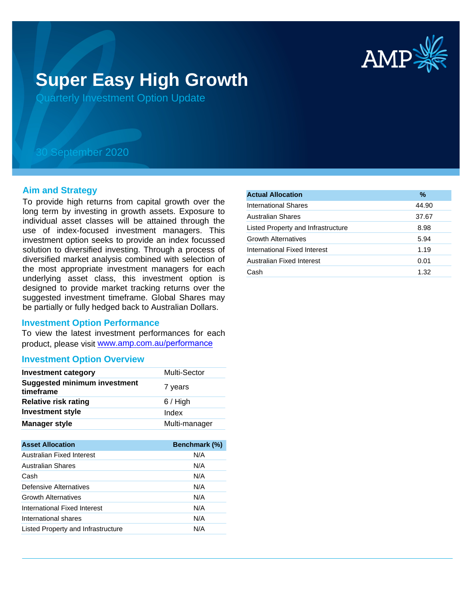

# **Super Easy High Growth**

Quarterly Investment Option Update

## 30 September 2020

#### **Aim and Strategy**

To provide high returns from capital growth over the long term by investing in growth assets. Exposure to individual asset classes will be attained through the use of index-focused investment managers. This investment option seeks to provide an index focussed solution to diversified investing. Through a process of diversified market analysis combined with selection of the most appropriate investment managers for each underlying asset class, this investment option is designed to provide market tracking returns over the suggested investment timeframe. Global Shares may be partially or fully hedged back to Australian Dollars.

#### **Investment Option Performance**

To view the latest investment performances for each product, please visit www.amp.com.au/performance

### **Investment Option Overview**

| <b>Investment category</b>                       | Multi-Sector  |
|--------------------------------------------------|---------------|
| <b>Suggested minimum investment</b><br>timeframe | 7 years       |
| Relative risk rating                             | $6/$ High     |
| <b>Investment style</b>                          | Index         |
| <b>Manager style</b>                             | Multi-manager |

| <b>Asset Allocation</b>            | Benchmark (%) |
|------------------------------------|---------------|
| Australian Fixed Interest          | N/A           |
| Australian Shares                  | N/A           |
| Cash                               | N/A           |
| Defensive Alternatives             | N/A           |
| <b>Growth Alternatives</b>         | N/A           |
| International Fixed Interest       | N/A           |
| International shares               | N/A           |
| Listed Property and Infrastructure | N/A           |

| <b>Actual Allocation</b>           | %     |
|------------------------------------|-------|
| International Shares               | 44.90 |
| <b>Australian Shares</b>           | 37.67 |
| Listed Property and Infrastructure | 8.98  |
| <b>Growth Alternatives</b>         | 5.94  |
| International Fixed Interest       | 1.19  |
| Australian Fixed Interest          | 0.01  |
| Cash                               | 1.32  |